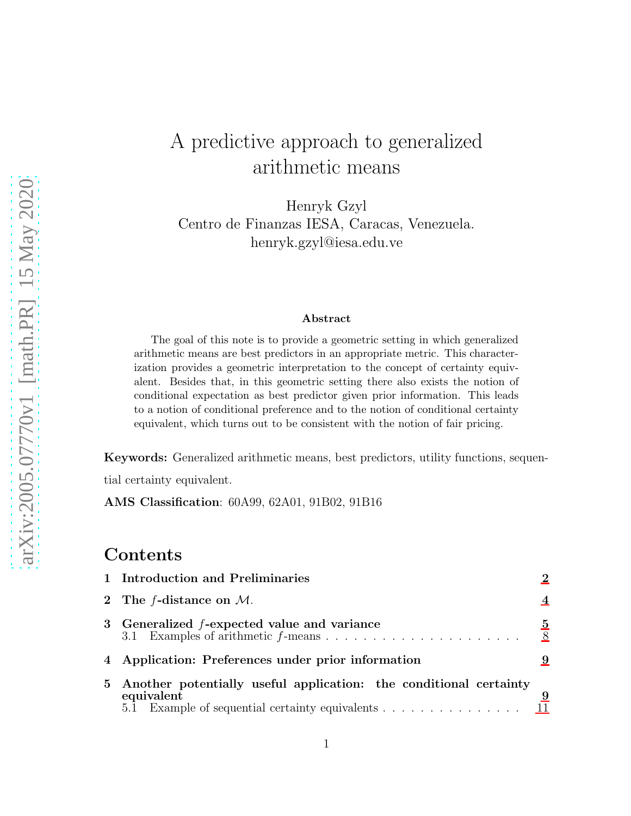# A predictive approach to generalized arithmetic means

Henryk Gzyl Centro de Finanzas IESA, Caracas, Venezuela. henryk.gzyl@iesa.edu.ve

#### Abstract

The goal of this note is to provide a geometric setting in which generalized arithmetic means are best predictors in an appropriate metric. This characterization provides a geometric interpretation to the concept of certainty equivalent. Besides that, in this geometric setting there also exists the notion of conditional expectation as best predictor given prior information. This leads to a notion of conditional preference and to the notion of conditional certainty equivalent, which turns out to be consistent with the notion of fair pricing.

Keywords: Generalized arithmetic means, best predictors, utility functions, sequential certainty equivalent.

AMS Classification: 60A99, 62A01, 91B02, 91B16

### Contents

| 1 Introduction and Preliminaries                                                                                                                                                    |        |  |
|-------------------------------------------------------------------------------------------------------------------------------------------------------------------------------------|--------|--|
| 2 The <i>f</i> -distance on $M$ .                                                                                                                                                   |        |  |
| 3 Generalized f-expected value and variance                                                                                                                                         | 5<br>8 |  |
| 4 Application: Preferences under prior information                                                                                                                                  |        |  |
| 5 Another potentially useful application: the conditional certainty<br>equivalent<br>5.1 Example of sequential certainty equivalents $\dots \dots \dots \dots \dots \dots \dots$ 11 | 9      |  |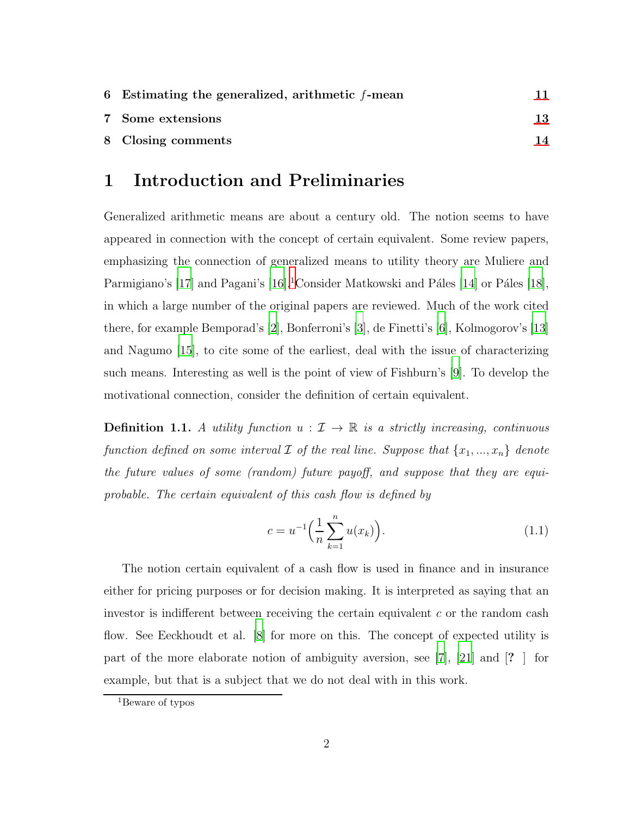| 6 Estimating the generalized, arithmetic $f$ -mean |    |
|----------------------------------------------------|----|
| 7 Some extensions                                  | 13 |
| 8 Closing comments                                 | 14 |

#### 1 Introduction and Preliminaries

Generalized arithmetic means are about a century old. The notion seems to have appeared in connection with the concept of certain equivalent. Some review papers, emphasizing the connection of generalized means to utility theory are Muliere and Parmigiano's [\[17](#page-15-0)] and Pagani's [\[16](#page-15-1)].<sup>1</sup>Consider Matkowski and Páles [\[14\]](#page-14-0) or Páles [\[18](#page-15-2)], in which a large number of the original papers are reviewed. Much of the work cited there, for example Bemporad's [\[2](#page-13-0)], Bonferroni's [\[3](#page-14-1)], de Finetti's [\[6\]](#page-14-2), Kolmogorov's [\[13\]](#page-14-3) and Nagumo [\[15](#page-15-3)], to cite some of the earliest, deal with the issue of characterizing such means. Interesting as well is the point of view of Fishburn's [\[9\]](#page-14-4). To develop the motivational connection, consider the definition of certain equivalent.

**Definition 1.1.** A utility function  $u : \mathcal{I} \to \mathbb{R}$  is a strictly increasing, continuous function defined on some interval  $\mathcal I$  of the real line. Suppose that  $\{x_1, ..., x_n\}$  denote the future values of some (random) future payoff, and suppose that they are equiprobable. The certain equivalent of this cash flow is defined by

$$
c = u^{-1} \left( \frac{1}{n} \sum_{k=1}^{n} u(x_k) \right). \tag{1.1}
$$

The notion certain equivalent of a cash flow is used in finance and in insurance either for pricing purposes or for decision making. It is interpreted as saying that an investor is indifferent between receiving the certain equivalent  $c$  or the random cash flow. See Eeckhoudt et al. [\[8\]](#page-14-5) for more on this. The concept of expected utility is part of the more elaborate notion of ambiguity aversion, see [\[7](#page-14-6)], [\[21\]](#page-15-4) and [? ] for example, but that is a subject that we do not deal with in this work.

<sup>1</sup>Beware of typos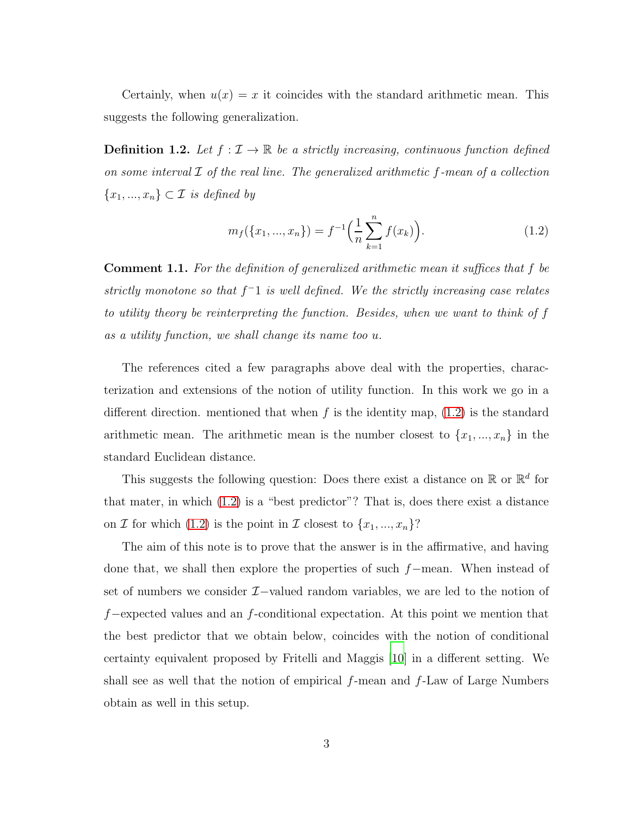Certainly, when  $u(x) = x$  it coincides with the standard arithmetic mean. This suggests the following generalization.

**Definition 1.2.** Let  $f : \mathcal{I} \to \mathbb{R}$  be a strictly increasing, continuous function defined on some interval  $\mathcal I$  of the real line. The generalized arithmetic f-mean of a collection  ${x_1, ..., x_n} \subset \mathcal{I}$  is defined by

<span id="page-2-0"></span>
$$
m_f(\{x_1, ..., x_n\}) = f^{-1}\left(\frac{1}{n}\sum_{k=1}^n f(x_k)\right).
$$
 (1.2)

Comment 1.1. For the definition of generalized arithmetic mean it suffices that f be strictly monotone so that  $f^-1$  is well defined. We the strictly increasing case relates to utility theory be reinterpreting the function. Besides, when we want to think of f as a utility function, we shall change its name too u.

The references cited a few paragraphs above deal with the properties, characterization and extensions of the notion of utility function. In this work we go in a different direction. mentioned that when f is the identity map,  $(1.2)$  is the standard arithmetic mean. The arithmetic mean is the number closest to  $\{x_1, ..., x_n\}$  in the standard Euclidean distance.

This suggests the following question: Does there exist a distance on  $\mathbb{R}$  or  $\mathbb{R}^d$  for that mater, in which [\(1.2\)](#page-2-0) is a "best predictor"? That is, does there exist a distance on  $\mathcal I$  for which [\(1.2\)](#page-2-0) is the point in  $\mathcal I$  closest to  $\{x_1, ..., x_n\}$ ?

The aim of this note is to prove that the answer is in the affirmative, and having done that, we shall then explore the properties of such f−mean. When instead of set of numbers we consider  $\mathcal{I}-v$ alued random variables, we are led to the notion of  $f$ −expected values and an  $f$ -conditional expectation. At this point we mention that the best predictor that we obtain below, coincides with the notion of conditional certainty equivalent proposed by Fritelli and Maggis [\[10](#page-14-7)] in a different setting. We shall see as well that the notion of empirical  $f$ -mean and  $f$ -Law of Large Numbers obtain as well in this setup.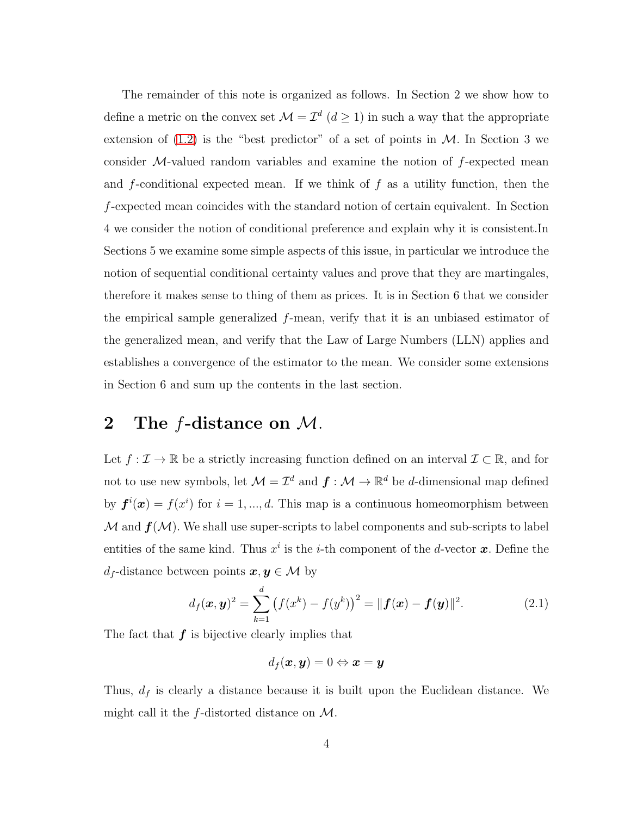The remainder of this note is organized as follows. In Section 2 we show how to define a metric on the convex set  $\mathcal{M} = \mathcal{I}^d$   $(d \geq 1)$  in such a way that the appropriate extension of  $(1.2)$  is the "best predictor" of a set of points in M. In Section 3 we consider  $M$ -valued random variables and examine the notion of  $f$ -expected mean and f-conditional expected mean. If we think of  $f$  as a utility function, then the f-expected mean coincides with the standard notion of certain equivalent. In Section 4 we consider the notion of conditional preference and explain why it is consistent.In Sections 5 we examine some simple aspects of this issue, in particular we introduce the notion of sequential conditional certainty values and prove that they are martingales, therefore it makes sense to thing of them as prices. It is in Section 6 that we consider the empirical sample generalized f-mean, verify that it is an unbiased estimator of the generalized mean, and verify that the Law of Large Numbers (LLN) applies and establishes a convergence of the estimator to the mean. We consider some extensions in Section 6 and sum up the contents in the last section.

### 2 The  $f$ -distance on  $M$ .

Let  $f: \mathcal{I} \to \mathbb{R}$  be a strictly increasing function defined on an interval  $\mathcal{I} \subset \mathbb{R}$ , and for not to use new symbols, let  $\mathcal{M} = \mathcal{I}^d$  and  $\mathbf{f} : \mathcal{M} \to \mathbb{R}^d$  be d-dimensional map defined by  $f^{i}(x) = f(x^{i})$  for  $i = 1, ..., d$ . This map is a continuous homeomorphism between  $M$  and  $f(M)$ . We shall use super-scripts to label components and sub-scripts to label entities of the same kind. Thus  $x^i$  is the *i*-th component of the *d*-vector **x**. Define the  $d_f$ -distance between points  $\boldsymbol{x}, \boldsymbol{y} \in \mathcal{M}$  by

$$
d_f(\mathbf{x}, \mathbf{y})^2 = \sum_{k=1}^d (f(x^k) - f(y^k))^2 = ||\mathbf{f}(\mathbf{x}) - \mathbf{f}(\mathbf{y})||^2.
$$
 (2.1)

The fact that  $f$  is bijective clearly implies that

$$
d_f(\bm{x},\bm{y})=0 \Leftrightarrow \bm{x}=\bm{y}
$$

Thus,  $d_f$  is clearly a distance because it is built upon the Euclidean distance. We might call it the  $f$ -distorted distance on  $\mathcal{M}$ .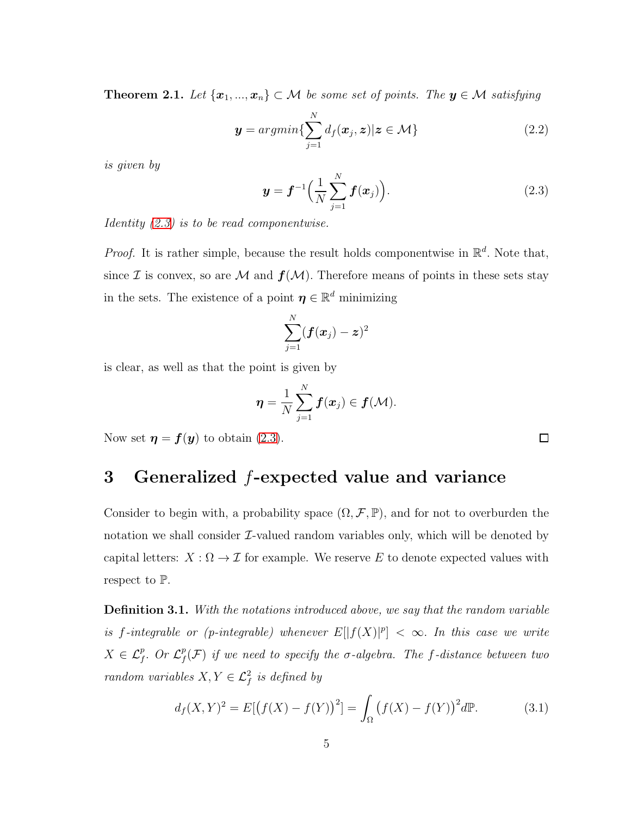**Theorem 2.1.** Let  $\{x_1, ..., x_n\} \subset M$  be some set of points. The  $y \in M$  satisfying

$$
\mathbf{y} = argmin\{\sum_{j=1}^{N} d_f(\mathbf{x}_j, \mathbf{z}) | \mathbf{z} \in \mathcal{M}\}\
$$
 (2.2)

is given by

<span id="page-4-1"></span>
$$
\boldsymbol{y} = \boldsymbol{f}^{-1} \Big( \frac{1}{N} \sum_{j=1}^{N} \boldsymbol{f}(\boldsymbol{x}_j) \Big). \tag{2.3}
$$

Identity [\(2.3\)](#page-4-1) is to be read componentwise.

*Proof.* It is rather simple, because the result holds componentwise in  $\mathbb{R}^d$ . Note that, since I is convex, so are M and  $f(M)$ . Therefore means of points in these sets stay in the sets. The existence of a point  $\boldsymbol{\eta} \in \mathbb{R}^d$  minimizing

$$
\sum_{j=1}^N(\bm{f}(\bm{x}_j)-\bm{z})^2
$$

is clear, as well as that the point is given by

$$
\boldsymbol{\eta} = \frac{1}{N} \sum_{j=1}^N \boldsymbol{f}(\boldsymbol{x}_j) \in \boldsymbol{f}(\mathcal{M}).
$$

<span id="page-4-0"></span>Now set  $\eta = f(y)$  to obtain [\(2.3\)](#page-4-1).

### 3 Generalized  $f$ -expected value and variance

Consider to begin with, a probability space  $(\Omega, \mathcal{F}, \mathbb{P})$ , and for not to overburden the notation we shall consider  $\mathcal{I}\text{-}$ valued random variables only, which will be denoted by capital letters:  $X : \Omega \to \mathcal{I}$  for example. We reserve E to denote expected values with respect to P.

Definition 3.1. With the notations introduced above, we say that the random variable is f-integrable or (p-integrable) whenever  $E[|f(X)|^p] < \infty$ . In this case we write  $X \in \mathcal{L}_f^p$ . Or  $\mathcal{L}_f^p$  $f^p(f)$  if we need to specify the  $\sigma$ -algebra. The  $f$ -distance between two random variables  $X, Y \in \mathcal{L}_f^2$  is defined by

$$
d_f(X,Y)^2 = E[(f(X) - f(Y))^2] = \int_{\Omega} (f(X) - f(Y))^2 d\mathbb{P}.
$$
 (3.1)

 $\Box$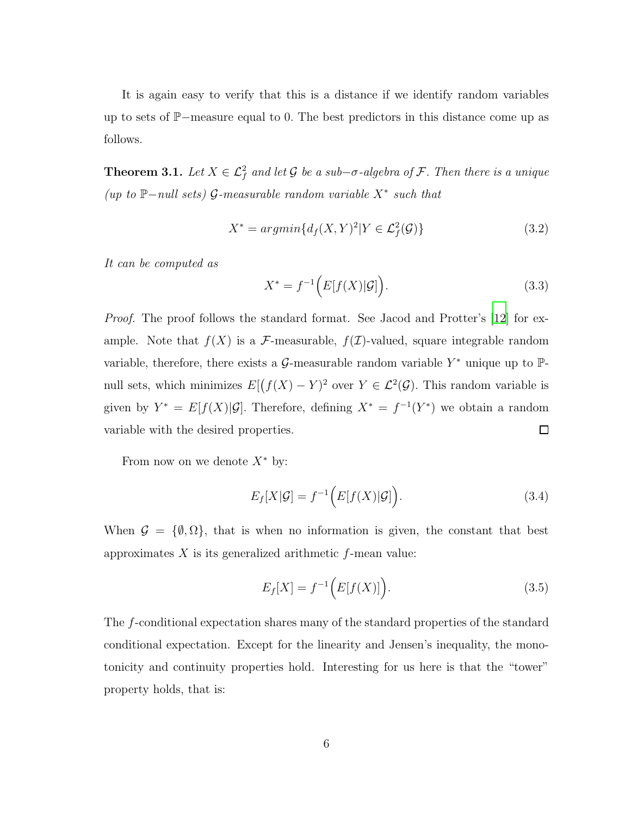It is again easy to verify that this is a distance if we identify random variables up to sets of <sup>P</sup>−measure equal to 0. The best predictors in this distance come up as follows.

**Theorem 3.1.** Let  $X \in \mathcal{L}_f^2$  and let G be a sub- $\sigma$ -algebra of F. Then there is a unique (up to  $\mathbb{P}-null$  sets) G-measurable random variable  $X^*$  such that

$$
X^* = argmin\{d_f(X, Y)^2 | Y \in \mathcal{L}_f^2(\mathcal{G})\}
$$
\n(3.2)

It can be computed as

$$
X^* = f^{-1}\Big(E[f(X)|\mathcal{G}]\Big). \tag{3.3}
$$

Proof. The proof follows the standard format. See Jacod and Protter's [\[12](#page-14-8)] for example. Note that  $f(X)$  is a F-measurable,  $f(\mathcal{I})$ -valued, square integrable random variable, therefore, there exists a  $\mathcal G$ -measurable random variable  $Y^*$  unique up to  $\mathbb P$ null sets, which minimizes  $E[(f(X) - Y)^2]$  over  $Y \in \mathcal{L}^2(\mathcal{G})$ . This random variable is given by  $Y^* = E[f(X)|\mathcal{G}]$ . Therefore, defining  $X^* = f^{-1}(Y^*)$  we obtain a random  $\Box$ variable with the desired properties.

From now on we denote  $X^*$  by:

$$
E_f[X|\mathcal{G}] = f^{-1}\Big(E[f(X)|\mathcal{G}]\Big). \tag{3.4}
$$

When  $\mathcal{G} = \{\emptyset, \Omega\}$ , that is when no information is given, the constant that best approximates  $X$  is its generalized arithmetic  $f$ -mean value:

<span id="page-5-0"></span>
$$
E_f[X] = f^{-1}(E[f(X)]).
$$
\n(3.5)

The f-conditional expectation shares many of the standard properties of the standard conditional expectation. Except for the linearity and Jensen's inequality, the monotonicity and continuity properties hold. Interesting for us here is that the "tower" property holds, that is: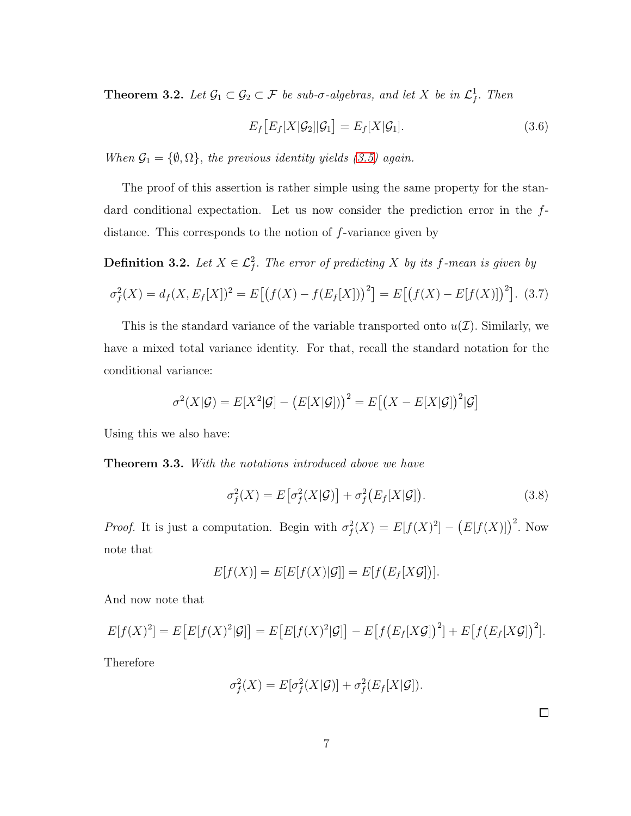**Theorem 3.2.** Let  $\mathcal{G}_1 \subset \mathcal{G}_2 \subset \mathcal{F}$  be sub- $\sigma$ -algebras, and let X be in  $\mathcal{L}_f^1$ . Then

<span id="page-6-0"></span>
$$
E_f\big[E_f[X|\mathcal{G}_2]|\mathcal{G}_1\big] = E_f[X|\mathcal{G}_1].\tag{3.6}
$$

When  $\mathcal{G}_1 = \{\emptyset, \Omega\}$ , the previous identity yields [\(3.5\)](#page-5-0) again.

The proof of this assertion is rather simple using the same property for the standard conditional expectation. Let us now consider the prediction error in the fdistance. This corresponds to the notion of f-variance given by

**Definition 3.2.** Let  $X \in \mathcal{L}_f^2$ . The error of predicting X by its f-mean is given by

$$
\sigma_f^2(X) = d_f(X, E_f[X])^2 = E[(f(X) - f(E_f[X]))^2] = E[(f(X) - E[f(X)])^2].
$$
 (3.7)

This is the standard variance of the variable transported onto  $u(\mathcal{I})$ . Similarly, we have a mixed total variance identity. For that, recall the standard notation for the conditional variance:

$$
\sigma^2(X|\mathcal{G}) = E[X^2|\mathcal{G}] - (E[X|\mathcal{G}]))^2 = E[(X - E[X|\mathcal{G}])^2|\mathcal{G}]
$$

Using this we also have:

Theorem 3.3. With the notations introduced above we have

$$
\sigma_f^2(X) = E\big[\sigma_f^2(X|\mathcal{G})\big] + \sigma_f^2\big(E_f[X|\mathcal{G}]\big). \tag{3.8}
$$

*Proof.* It is just a computation. Begin with  $\sigma_f^2(X) = E[f(X)^2] - (E[f(X)])^2$ . Now note that

$$
E[f(X)] = E[E[f(X)|\mathcal{G}]] = E[f(E_f[X\mathcal{G}])].
$$

And now note that

$$
E[f(X)^{2}] = E\big[E[f(X)^{2}|\mathcal{G}]\big] = E\big[E[f(X)^{2}|\mathcal{G}]\big] - E\big[f\big(E_{f}[X\mathcal{G}]\big)^{2}\big] + E\big[f\big(E_{f}[X\mathcal{G}]\big)^{2}\big].
$$

Therefore

$$
\sigma_f^2(X) = E[\sigma_f^2(X|\mathcal{G})] + \sigma_f^2(E_f[X|\mathcal{G}]).
$$

 $\Box$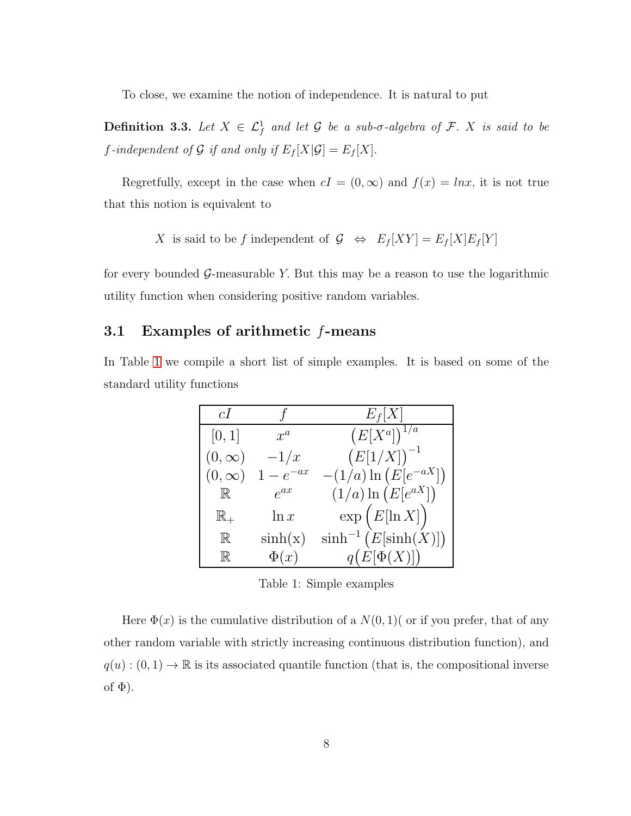To close, we examine the notion of independence. It is natural to put

**Definition 3.3.** Let  $X \in \mathcal{L}^1_f$  and let G be a sub- $\sigma$ -algebra of F. X is said to be f-independent of  $\mathcal G$  if and only if  $E_f[X|\mathcal G]=E_f[X].$ 

Regretfully, except in the case when  $cI = (0, \infty)$  and  $f(x) = \ln x$ , it is not true that this notion is equivalent to

X is said to be f independent of 
$$
\mathcal{G} \iff E_f[XY] = E_f[X]E_f[Y]
$$

for every bounded  $\mathcal{G}$ -measurable Y. But this may be a reason to use the logarithmic utility function when considering positive random variables.

#### 3.1 Examples of arithmetic f-means

In Table [1](#page-7-0) we compile a short list of simple examples. It is based on some of the standard utility functions

| cI             |             | $E_f[X]$                   |
|----------------|-------------|----------------------------|
| [0, 1]         | $x^a$       | $(E[X^a])^{1/a}$           |
| $(0,\infty)$   | $-1/x$      | $(E[1/X])^{-1}$            |
| $(0,\infty)$   | $1-e^{-ax}$ | $-(1/a) \ln (E[e^{-aX}])$  |
| $\mathbb R$    | $e^{ax}$    | $(1/a) \ln (E[e^{aX}])$    |
| $\mathbb{R}_+$ | $\ln x$     | $\exp(E[\ln X])$           |
| $\mathbb R$    | $\sinh(x)$  | $\sinh^{-1} (E[\sinh(X)])$ |
| $\mathbb R$    | $\Phi(x)$   | $q(E[\Phi(X)])$            |

<span id="page-7-0"></span>Table 1: Simple examples

Here  $\Phi(x)$  is the cumulative distribution of a  $N(0, 1)$  or if you prefer, that of any other random variable with strictly increasing continuous distribution function), and  $q(u): (0,1) \to \mathbb{R}$  is its associated quantile function (that is, the compositional inverse of  $\Phi$ ).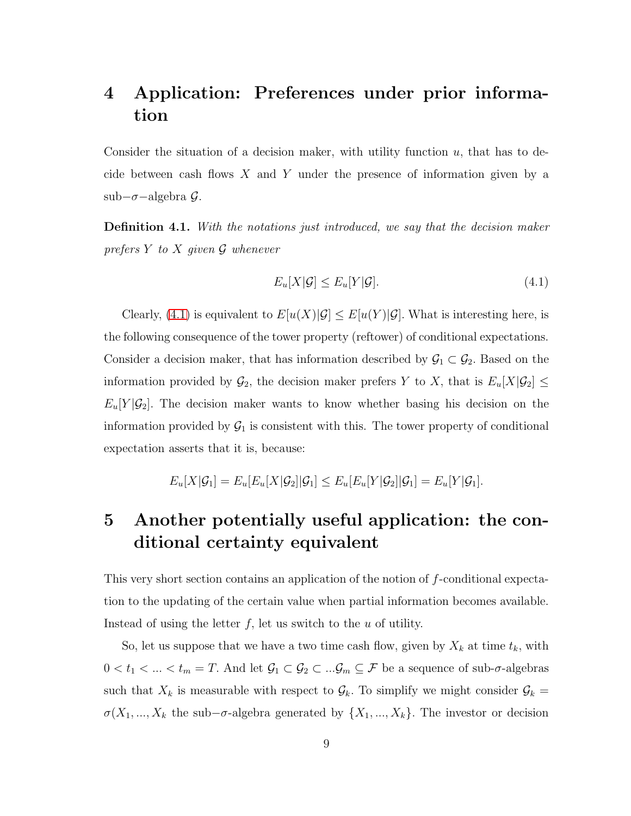## <span id="page-8-0"></span>4 Application: Preferences under prior information

Consider the situation of a decision maker, with utility function  $u$ , that has to decide between cash flows  $X$  and  $Y$  under the presence of information given by a sub−σ−algebra G.

Definition 4.1. With the notations just introduced, we say that the decision maker prefers  $Y$  to  $X$  given  $\mathcal G$  whenever

<span id="page-8-2"></span>
$$
E_u[X|\mathcal{G}] \le E_u[Y|\mathcal{G}].\tag{4.1}
$$

Clearly, [\(4.1\)](#page-8-2) is equivalent to  $E[u(X)|\mathcal{G}] \leq E[u(Y)|\mathcal{G}]$ . What is interesting here, is the following consequence of the tower property (reftower) of conditional expectations. Consider a decision maker, that has information described by  $\mathcal{G}_1 \subset \mathcal{G}_2$ . Based on the information provided by  $\mathcal{G}_2$ , the decision maker prefers Y to X, that is  $E_u[X|\mathcal{G}_2] \leq$  $E_u[Y|\mathcal{G}_2]$ . The decision maker wants to know whether basing his decision on the information provided by  $\mathcal{G}_1$  is consistent with this. The tower property of conditional expectation asserts that it is, because:

$$
E_u[X|\mathcal{G}_1] = E_u[E_u[X|\mathcal{G}_2]|\mathcal{G}_1] \leq E_u[E_u[Y|\mathcal{G}_2]|\mathcal{G}_1] = E_u[Y|\mathcal{G}_1].
$$

## <span id="page-8-1"></span>5 Another potentially useful application: the conditional certainty equivalent

This very short section contains an application of the notion of f-conditional expectation to the updating of the certain value when partial information becomes available. Instead of using the letter  $f$ , let us switch to the  $u$  of utility.

So, let us suppose that we have a two time cash flow, given by  $X_k$  at time  $t_k$ , with  $0 < t_1 < ... < t_m = T$ . And let  $\mathcal{G}_1 \subset \mathcal{G}_2 \subset ... \mathcal{G}_m \subseteq \mathcal{F}$  be a sequence of sub- $\sigma$ -algebras such that  $X_k$  is measurable with respect to  $\mathcal{G}_k$ . To simplify we might consider  $\mathcal{G}_k$  =  $\sigma(X_1, ..., X_k)$  the sub– $\sigma$ -algebra generated by  $\{X_1, ..., X_k\}$ . The investor or decision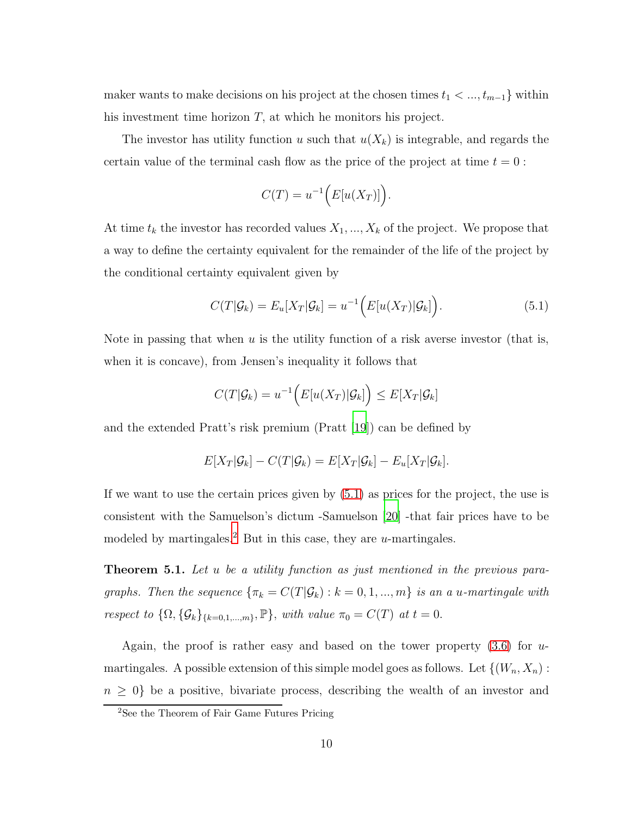maker wants to make decisions on his project at the chosen times  $t_1 < ..., t_{m-1}$  within his investment time horizon T, at which he monitors his project.

The investor has utility function u such that  $u(X_k)$  is integrable, and regards the certain value of the terminal cash flow as the price of the project at time  $t = 0$ :

$$
C(T) = u^{-1}\Big(E[u(X_T)]\Big).
$$

At time  $t_k$  the investor has recorded values  $X_1, ..., X_k$  of the project. We propose that a way to define the certainty equivalent for the remainder of the life of the project by the conditional certainty equivalent given by

<span id="page-9-0"></span>
$$
C(T|\mathcal{G}_k) = E_u[X_T|\mathcal{G}_k] = u^{-1}\Big(E[u(X_T)|\mathcal{G}_k]\Big). \tag{5.1}
$$

Note in passing that when  $u$  is the utility function of a risk averse investor (that is, when it is concave), from Jensen's inequality it follows that

$$
C(T|\mathcal{G}_k) = u^{-1}\Big(E[u(X_T)|\mathcal{G}_k]\Big) \le E[X_T|\mathcal{G}_k]
$$

and the extended Pratt's risk premium (Pratt [\[19\]](#page-15-5)) can be defined by

$$
E[X_T|\mathcal{G}_k] - C(T|\mathcal{G}_k) = E[X_T|\mathcal{G}_k] - E_u[X_T|\mathcal{G}_k].
$$

If we want to use the certain prices given by [\(5.1\)](#page-9-0) as prices for the project, the use is consistent with the Samuelson's dictum -Samuelson [\[20](#page-15-6)] -that fair prices have to be modeled by martingales.<sup>2</sup> But in this case, they are  $u$ -martingales.

**Theorem 5.1.** Let u be a utility function as just mentioned in the previous paragraphs. Then the sequence  $\{\pi_k = C(T|\mathcal{G}_k) : k = 0, 1, ..., m\}$  is an a u-martingale with respect to  $\{\Omega, \{\mathcal{G}_k\}_{\{k=0,1,\dots,m\}}, \mathbb{P}\},\$  with value  $\pi_0 = C(T)$  at  $t = 0$ .

Again, the proof is rather easy and based on the tower property  $(3.6)$  for umartingales. A possible extension of this simple model goes as follows. Let  $\{(W_n, X_n)$ :  $n \geq 0$  be a positive, bivariate process, describing the wealth of an investor and

<sup>&</sup>lt;sup>2</sup>See the Theorem of Fair Game Futures Pricing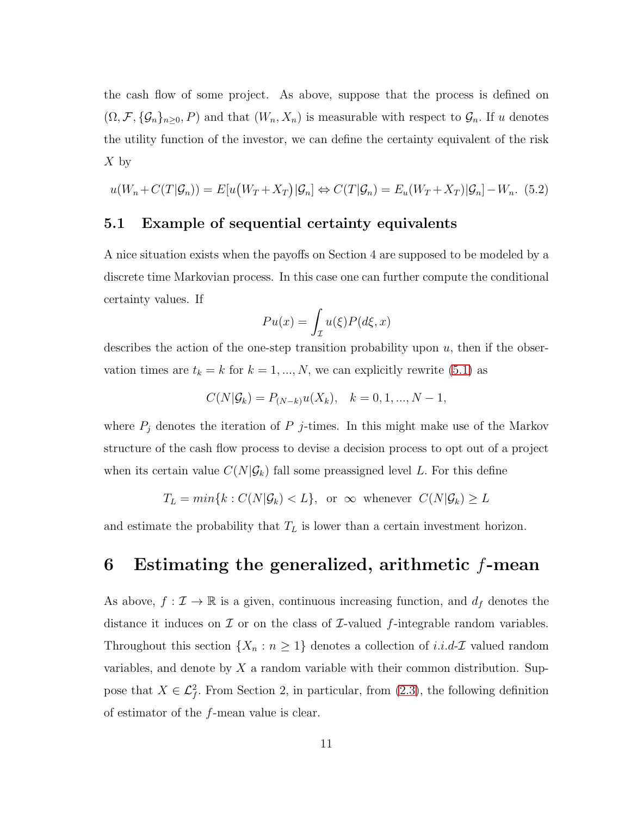the cash flow of some project. As above, suppose that the process is defined on  $(\Omega, \mathcal{F}, \{\mathcal{G}_n\}_{n\geq 0}, P)$  and that  $(W_n, X_n)$  is measurable with respect to  $\mathcal{G}_n$ . If u denotes the utility function of the investor, we can define the certainty equivalent of the risk  $X$  by

$$
u(W_n + C(T|\mathcal{G}_n)) = E[u(W_T + X_T)|\mathcal{G}_n] \Leftrightarrow C(T|\mathcal{G}_n) = E_u(W_T + X_T)|\mathcal{G}_n] - W_n. (5.2)
$$

#### 5.1 Example of sequential certainty equivalents

A nice situation exists when the payoffs on Section 4 are supposed to be modeled by a discrete time Markovian process. In this case one can further compute the conditional certainty values. If

$$
Pu(x) = \int_{\mathcal{I}} u(\xi)P(d\xi, x)
$$

describes the action of the one-step transition probability upon  $u$ , then if the observation times are  $t_k = k$  for  $k = 1, ..., N$ , we can explicitly rewrite [\(5.1\)](#page-9-0) as

$$
C(N|\mathcal{G}_k) = P_{(N-k)}u(X_k), \quad k = 0, 1, ..., N-1,
$$

where  $P_j$  denotes the iteration of P j-times. In this might make use of the Markov structure of the cash flow process to devise a decision process to opt out of a project when its certain value  $C(N|\mathcal{G}_k)$  fall some preassigned level L. For this define

$$
T_L = \min\{k : C(N|\mathcal{G}_k) < L\}, \text{ or } \infty \text{ whenever } C(N|\mathcal{G}_k) \ge L
$$

and estimate the probability that  $T_L$  is lower than a certain investment horizon.

### 6 Estimating the generalized, arithmetic  $f$ -mean

As above,  $f: \mathcal{I} \to \mathbb{R}$  is a given, continuous increasing function, and  $d_f$  denotes the distance it induces on  $\mathcal I$  or on the class of  $\mathcal I$ -valued f-integrable random variables. Throughout this section  $\{X_n : n \geq 1\}$  denotes a collection of *i.i.d-I* valued random variables, and denote by  $X$  a random variable with their common distribution. Suppose that  $X \in \mathcal{L}_{f}^2$ . From Section 2, in particular, from [\(2.3\)](#page-4-1), the following definition of estimator of the f-mean value is clear.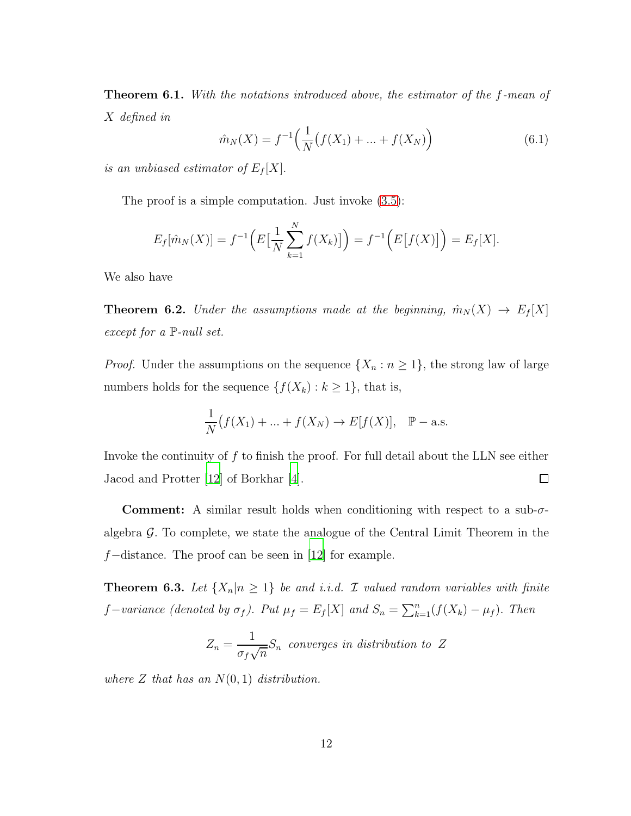**Theorem 6.1.** With the notations introduced above, the estimator of the f-mean of X defined in

$$
\hat{m}_N(X) = f^{-1}\left(\frac{1}{N}\big(f(X_1) + \dots + f(X_N)\big)\right) \tag{6.1}
$$

is an unbiased estimator of  $E_f[X]$ .

The proof is a simple computation. Just invoke [\(3.5\)](#page-5-0):

$$
E_f[\hat{m}_N(X)] = f^{-1}\Big(E\big[\frac{1}{N}\sum_{k=1}^N f(X_k)\big]\Big) = f^{-1}\Big(E\big[f(X)\big]\Big) = E_f[X].
$$

We also have

**Theorem 6.2.** Under the assumptions made at the beginning,  $\hat{m}_N(X) \rightarrow E_f[X]$ except for a  $\mathbb{P}\text{-}null set$ .

*Proof.* Under the assumptions on the sequence  $\{X_n : n \geq 1\}$ , the strong law of large numbers holds for the sequence  $\{f(X_k) : k \geq 1\}$ , that is,

$$
\frac{1}{N}(f(X_1) + \dots + f(X_N) \to E[f(X)], \quad \mathbb{P}-\text{a.s.}
$$

Invoke the continuity of  $f$  to finish the proof. For full detail about the LLN see either Jacod and Protter [\[12](#page-14-8)] of Borkhar [\[4\]](#page-14-9).  $\Box$ 

**Comment:** A similar result holds when conditioning with respect to a sub- $\sigma$ algebra  $\mathcal G$ . To complete, we state the analogue of the Central Limit Theorem in the f−distance. The proof can be seen in [\[12](#page-14-8)] for example.

**Theorem 6.3.** Let  $\{X_n | n \geq 1\}$  be and i.i.d. *I* valued random variables with finite f-variance (denoted by  $\sigma_f$ ). Put  $\mu_f = E_f[X]$  and  $S_n = \sum_{k=1}^n (f(X_k) - \mu_f)$ . Then

$$
Z_n = \frac{1}{\sigma_f \sqrt{n}} S_n
$$
 converges in distribution to Z

where  $Z$  that has an  $N(0, 1)$  distribution.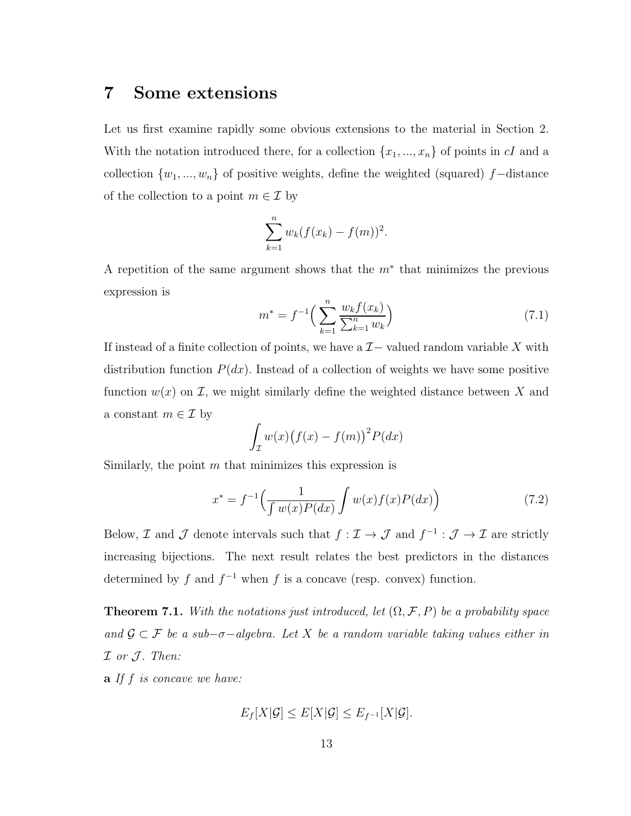#### 7 Some extensions

Let us first examine rapidly some obvious extensions to the material in Section 2. With the notation introduced there, for a collection  $\{x_1, ..., x_n\}$  of points in cI and a collection  $\{w_1, ..., w_n\}$  of positive weights, define the weighted (squared) f–distance of the collection to a point  $m \in \mathcal{I}$  by

$$
\sum_{k=1}^{n} w_k (f(x_k) - f(m))^2.
$$

A repetition of the same argument shows that the  $m^*$  that minimizes the previous expression is

$$
m^* = f^{-1}\left(\sum_{k=1}^n \frac{w_k f(x_k)}{\sum_{k=1}^n w_k}\right) \tag{7.1}
$$

If instead of a finite collection of points, we have a  $\mathcal{I}-$  valued random variable X with distribution function  $P(dx)$ . Instead of a collection of weights we have some positive function  $w(x)$  on  $\mathcal{I}$ , we might similarly define the weighted distance between X and a constant  $m \in \mathcal{I}$  by

$$
\int_{\mathcal{I}} w(x) (f(x) - f(m))^2 P(dx)
$$

Similarly, the point  $m$  that minimizes this expression is

$$
x^* = f^{-1}\left(\frac{1}{\int w(x)P(dx)}\int w(x)f(x)P(dx)\right)
$$
\n(7.2)

Below,  $\mathcal I$  and  $\mathcal J$  denote intervals such that  $f: \mathcal I \to \mathcal J$  and  $f^{-1}: \mathcal J \to \mathcal I$  are strictly increasing bijections. The next result relates the best predictors in the distances determined by f and  $f^{-1}$  when f is a concave (resp. convex) function.

<span id="page-12-0"></span>**Theorem 7.1.** With the notations just introduced, let  $(\Omega, \mathcal{F}, P)$  be a probability space and  $\mathcal{G} \subset \mathcal{F}$  be a sub- $\sigma$ -algebra. Let X be a random variable taking values either in  $I$  or  $J$ . Then:

 $\mathbf{a}$  If  $f$  is concave we have:

$$
E_f[X|\mathcal{G}] \leq E[X|\mathcal{G}] \leq E_{f^{-1}}[X|\mathcal{G}].
$$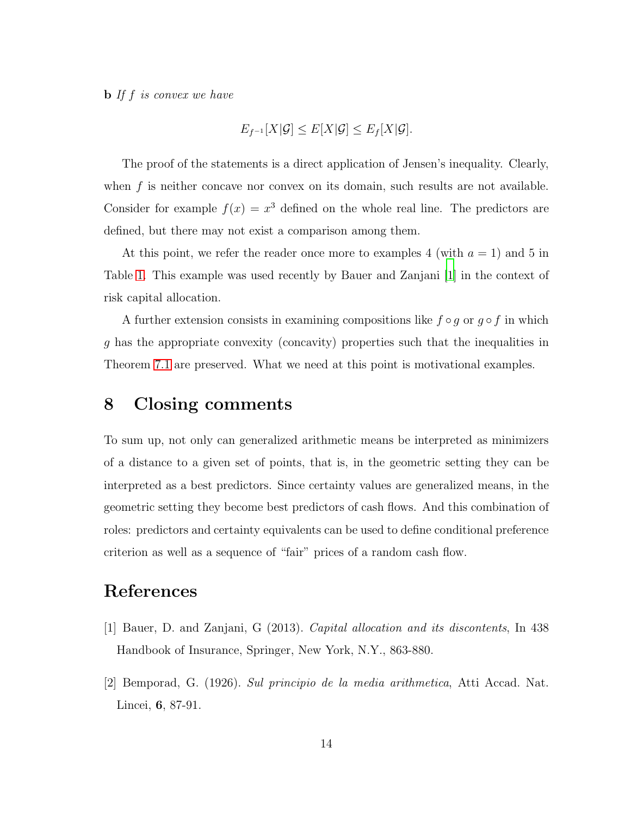$\mathbf{b}$  If f is convex we have

$$
E_{f^{-1}}[X|\mathcal{G}] \leq E[X|\mathcal{G}] \leq E_f[X|\mathcal{G}].
$$

The proof of the statements is a direct application of Jensen's inequality. Clearly, when  $f$  is neither concave nor convex on its domain, such results are not available. Consider for example  $f(x) = x^3$  defined on the whole real line. The predictors are defined, but there may not exist a comparison among them.

At this point, we refer the reader once more to examples 4 (with  $a = 1$ ) and 5 in Table [1.](#page-7-0) This example was used recently by Bauer and Zanjani [\[1](#page-13-1)] in the context of risk capital allocation.

A further extension consists in examining compositions like  $f \circ g$  or  $g \circ f$  in which g has the appropriate convexity (concavity) properties such that the inequalities in Theorem [7.1](#page-12-0) are preserved. What we need at this point is motivational examples.

#### 8 Closing comments

To sum up, not only can generalized arithmetic means be interpreted as minimizers of a distance to a given set of points, that is, in the geometric setting they can be interpreted as a best predictors. Since certainty values are generalized means, in the geometric setting they become best predictors of cash flows. And this combination of roles: predictors and certainty equivalents can be used to define conditional preference criterion as well as a sequence of "fair" prices of a random cash flow.

#### References

- <span id="page-13-1"></span>[1] Bauer, D. and Zanjani, G (2013). Capital allocation and its discontents, In 438 Handbook of Insurance, Springer, New York, N.Y., 863-880.
- <span id="page-13-0"></span>[2] Bemporad, G. (1926). Sul principio de la media arithmetica, Atti Accad. Nat. Lincei, 6, 87-91.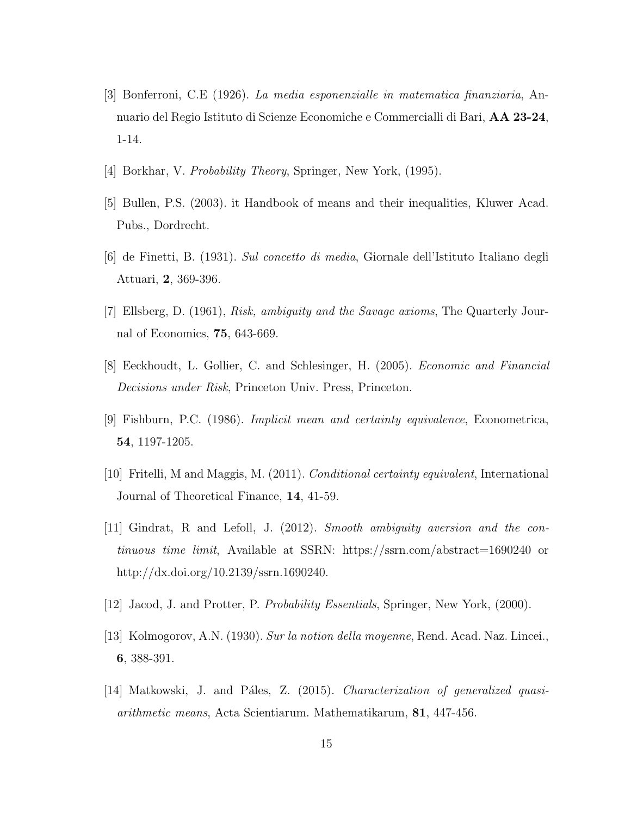- <span id="page-14-1"></span>[3] Bonferroni, C.E (1926). La media esponenzialle in matematica finanziaria, Annuario del Regio Istituto di Scienze Economiche e Commercialli di Bari, AA 23-24, 1-14.
- <span id="page-14-9"></span>[4] Borkhar, V. Probability Theory, Springer, New York, (1995).
- [5] Bullen, P.S. (2003). it Handbook of means and their inequalities, Kluwer Acad. Pubs., Dordrecht.
- <span id="page-14-2"></span>[6] de Finetti, B. (1931). Sul concetto di media, Giornale dell'Istituto Italiano degli Attuari, 2, 369-396.
- <span id="page-14-6"></span>[7] Ellsberg, D. (1961), Risk, ambiguity and the Savage axioms, The Quarterly Journal of Economics, 75, 643-669.
- <span id="page-14-5"></span>[8] Eeckhoudt, L. Gollier, C. and Schlesinger, H. (2005). Economic and Financial Decisions under Risk, Princeton Univ. Press, Princeton.
- <span id="page-14-4"></span>[9] Fishburn, P.C. (1986). Implicit mean and certainty equivalence, Econometrica, 54, 1197-1205.
- <span id="page-14-7"></span>[10] Fritelli, M and Maggis, M. (2011). Conditional certainty equivalent, International Journal of Theoretical Finance, 14, 41-59.
- [11] Gindrat, R and Lefoll, J. (2012). Smooth ambiguity aversion and the continuous time limit, Available at SSRN: https://ssrn.com/abstract=1690240 or http://dx.doi.org/10.2139/ssrn.1690240.
- <span id="page-14-8"></span>[12] Jacod, J. and Protter, P. Probability Essentials, Springer, New York, (2000).
- <span id="page-14-3"></span>[13] Kolmogorov, A.N. (1930). Sur la notion della moyenne, Rend. Acad. Naz. Lincei., 6, 388-391.
- <span id="page-14-0"></span>[14] Matkowski, J. and Páles, Z. (2015). Characterization of generalized quasiarithmetic means, Acta Scientiarum. Mathematikarum, 81, 447-456.